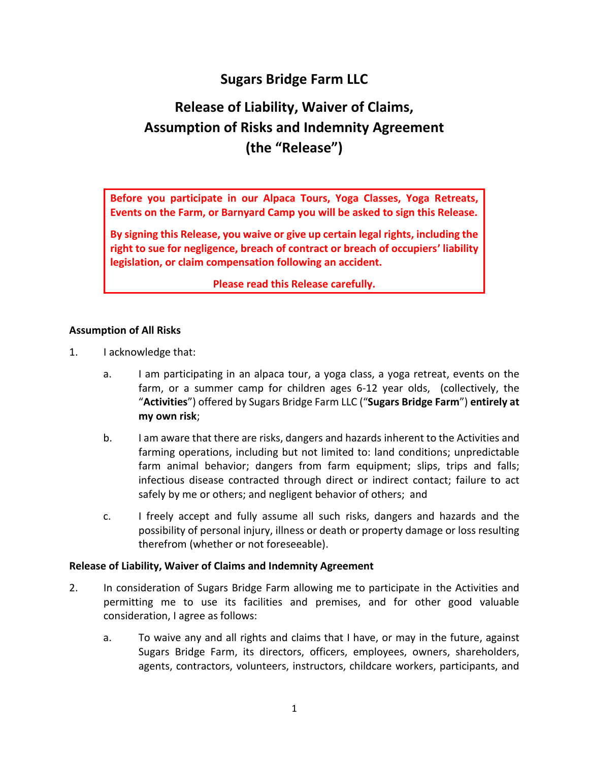## **Sugars Bridge Farm LLC**

# **Release of Liability, Waiver of Claims, Assumption of Risks and Indemnity Agreement (the "Release")**

**Before you participate in our Alpaca Tours, Yoga Classes, Yoga Retreats, Events on the Farm, or Barnyard Camp you will be asked to sign this Release.** 

**By signing this Release, you waive or give up certain legal rights, including the right to sue for negligence, breach of contract or breach of occupiers' liability legislation, or claim compensation following an accident.**

**Please read this Release carefully.**

### **Assumption of All Risks**

- 1. I acknowledge that:
	- a. I am participating in an alpaca tour, a yoga class, a yoga retreat, events on the farm, or a summer camp for children ages 6-12 year olds, (collectively, the "**Activities**") offered by Sugars Bridge Farm LLC ("**Sugars Bridge Farm**") **entirely at my own risk**;
	- b. I am aware that there are risks, dangers and hazards inherent to the Activities and farming operations, including but not limited to: land conditions; unpredictable farm animal behavior; dangers from farm equipment; slips, trips and falls; infectious disease contracted through direct or indirect contact; failure to act safely by me or others; and negligent behavior of others; and
	- c. I freely accept and fully assume all such risks, dangers and hazards and the possibility of personal injury, illness or death or property damage or loss resulting therefrom (whether or not foreseeable).

#### **Release of Liability, Waiver of Claims and Indemnity Agreement**

- 2. In consideration of Sugars Bridge Farm allowing me to participate in the Activities and permitting me to use its facilities and premises, and for other good valuable consideration, I agree as follows:
	- a. To waive any and all rights and claims that I have, or may in the future, against Sugars Bridge Farm, its directors, officers, employees, owners, shareholders, agents, contractors, volunteers, instructors, childcare workers, participants, and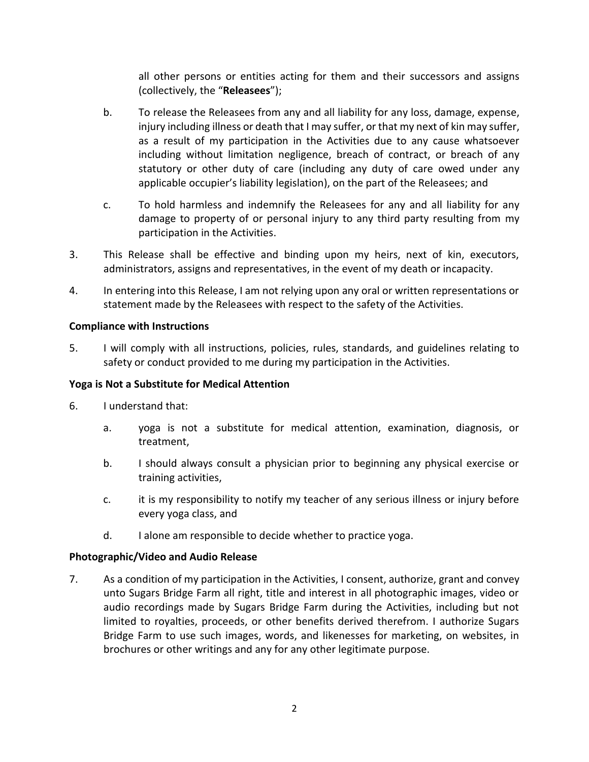all other persons or entities acting for them and their successors and assigns (collectively, the "**Releasees**");

- b. To release the Releasees from any and all liability for any loss, damage, expense, injury including illness or death that I may suffer, or that my next of kin may suffer, as a result of my participation in the Activities due to any cause whatsoever including without limitation negligence, breach of contract, or breach of any statutory or other duty of care (including any duty of care owed under any applicable occupier's liability legislation), on the part of the Releasees; and
- c. To hold harmless and indemnify the Releasees for any and all liability for any damage to property of or personal injury to any third party resulting from my participation in the Activities.
- 3. This Release shall be effective and binding upon my heirs, next of kin, executors, administrators, assigns and representatives, in the event of my death or incapacity.
- 4. In entering into this Release, I am not relying upon any oral or written representations or statement made by the Releasees with respect to the safety of the Activities.

#### **Compliance with Instructions**

5. I will comply with all instructions, policies, rules, standards, and guidelines relating to safety or conduct provided to me during my participation in the Activities.

#### **Yoga is Not a Substitute for Medical Attention**

- 6. I understand that:
	- a. yoga is not a substitute for medical attention, examination, diagnosis, or treatment,
	- b. I should always consult a physician prior to beginning any physical exercise or training activities,
	- c. it is my responsibility to notify my teacher of any serious illness or injury before every yoga class, and
	- d. I alone am responsible to decide whether to practice yoga.

#### **Photographic/Video and Audio Release**

7. As a condition of my participation in the Activities, I consent, authorize, grant and convey unto Sugars Bridge Farm all right, title and interest in all photographic images, video or audio recordings made by Sugars Bridge Farm during the Activities, including but not limited to royalties, proceeds, or other benefits derived therefrom. I authorize Sugars Bridge Farm to use such images, words, and likenesses for marketing, on websites, in brochures or other writings and any for any other legitimate purpose.